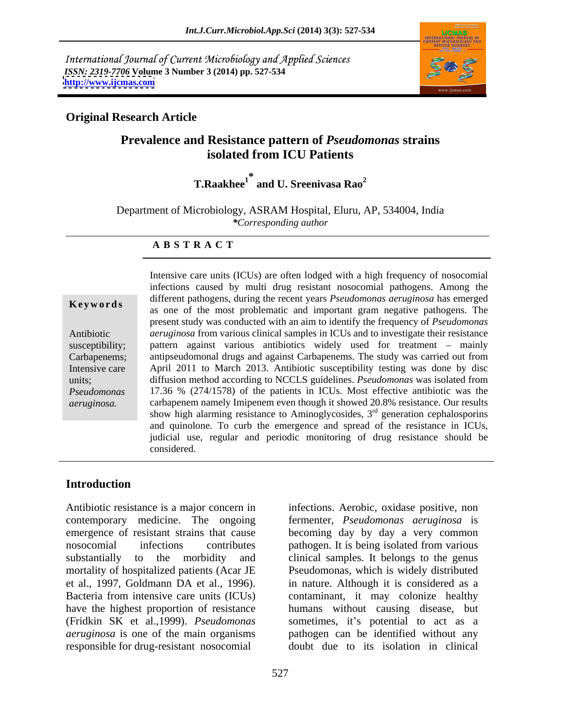International Journal of Current Microbiology and Applied Sciences *ISSN: 2319-7706* **Volume 3 Number 3 (2014) pp. 527-534 <http://www.ijcmas.com>**



## **Original Research Article**

# **Prevalence and Resistance pattern of** *Pseudomonas* **strains isolated from ICU Patients**

**T.Raakhee<sup>1</sup> \* and U. Sreenivasa Rao<sup>2</sup>**

Department of Microbiology, ASRAM Hospital, Eluru, AP, 534004, India *\*Corresponding author*

### **A B S T R A C T**

**Keywords** as one of the most problematic and important gram negative pathogens. The Antibiotic *aeruginosa* from various clinical samples in ICUs and to investigate their resistance susceptibility; pattern against various antibiotics widely used for treatment mainly Carbapenems; antipseudomonal drugs and against Carbapenems. The study was carried out from Intensive care April 2011 to March 2013. Antibiotic susceptibility testing was done by disc units; diffusion method according to NCCLS guidelines. *Pseudomonas* was isolated from *Pseudomonas*  17.36 % (274/1578) of the patients in ICUs. Most effective antibiotic was the *aeruginosa.* carbapenem namely Imipenem even though it showed 20.8% resistance. Our results Intensive care units (ICUs) are often lodged with a high frequency of nosocomial infections caused by multi drug resistant nosocomial pathogens. Among the different pathogens, during the recent years *Pseudomonas aeruginosa* has emerged present study was conducted with an aim to identify the frequency of *Pseudomonas*  show high alarming resistance to Aminoglycosides,  $3<sup>rd</sup>$  generation cephalosporins and quinolone. To curb the emergence and spread of the resistance in ICUs, judicial use, regular and periodic monitoring of drug resistance should be considered.

### **Introduction**

Antibiotic resistance is a major concern in infections. Aerobic, oxidase positive, non contemporary medicine. The ongoing fermenter, *Pseudomonas aeruginosa* is emergence of resistant strains that cause becoming day by day a very common nosocomial infections contributes pathogen. It is being isolated from various substantially to the morbidity and clinical samples. It belongs to the genus mortality of hospitalized patients (Acar JE et al., 1997, Goldmann DA et al., 1996). in nature. Although it is considered as a Bacteria from intensive care units (ICUs) contaminant, it may colonize healthy have the highest proportion of resistance humans without causing disease, but (Fridkin SK et al., 1999). *Pseudomonas* sometimes, it's potential to act as a *aeruginosa* is one of the main organisms pathogen can be identified without any responsible for drug-resistant nosocomial

Pseudomonas, which is widely distributed doubt due to its isolation in clinical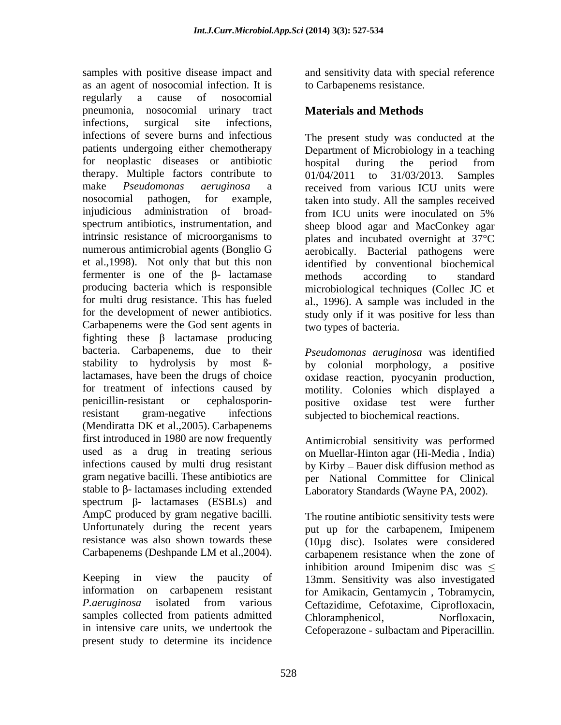samples with positive disease impact and and sensitivity data with special reference as an agent of nosocomial infection. It is regularly a cause of nosocomial pneumonia, nosocomial urinary tract infections, surgical site infections, infections of severe burns and infectious patients undergoing either chemotherapy Department of Microbiology in a teaching for neoplastic diseases or antibiotic bospital during the period from therapy. Multiple factors contribute to  $01/04/2011$  to  $31/03/2013$ . Samples make *Pseudomonas aeruginosa* a nosocomial pathogen, for example, taken into study. All the samples received injudicious administration of broad-<br>from ICU units were inoculated on 5% spectrum antibiotics, instrumentation, and sheep blood agar and MacConkey agar intrinsic resistance of microorganisms to plates and incubated overnight at 37°C numerous antimicrobial agents (Bonglio G et al.,1998). Not only that but this non identified by conventional biochemical fermenter is one of the  $\beta$ - lactamase methods according to standard producing bacteria which is responsible microbiological techniques (Collec JC et for multi drug resistance. This has fueled al., 1996). A sample was included in the for the development of newer antibiotics. study only if it was positive for less than Carbapenems were the God sent agents in fighting these  $\beta$  lactamase producing bacteria. Carbapenems, due to their *Pseudomonas aeruginosa* was identified stability to hydrolysis by most ßlactamases, have been the drugs of choice oxidase reaction, pyocyanin production, for treatment of infections caused by motility. Colonies which displayed a penicillin-resistant or cephalosporin-positive oxidase test were further resistant gram-negative infections subjected to biochemical reactions. (Mendiratta DK et al.,2005). Carbapenems first introduced in 1980 are now frequently used as a drug in treating serious on Muellar-Hinton agar (Hi-Media , India) infections caused by multi drug resistant by Kirby - Bauer disk diffusion method as gram negative bacilli. These antibiotics are per National Committee for Clinical stable to  $\beta$ - lactamases including extended spectrum  $\beta$ - lactamases (ESBLs) and AmpC produced by gram negative bacilli. The routine antibiotic sensitivity tests were Unfortunately during the recent years but up for the carbapenem, Imipenem resistance was also shown towards these (10µg disc). Isolates were considered

Keeping in view the paucity of 13mm. Sensitivity was also investigated information on carbapenem resistant for Amikacin, Gentamycin , Tobramycin, P.aeruginosa isolated from various Ceftazidime, Cefotaxime, Ciprofloxacin, samples collected from patients admitted Chloramphenicol, Norfloxacin, in intensive care units, we undertook the Cefoperazone - sulbactam and Piperacillin.present study to determine its incidence

to Carbapenems resistance.

# **Materials and Methods**

The present study was conducted at the hospital during the period from 01/04/2011 to 31/03/2013. Samples received from various ICU units were from ICU units were inoculated on 5% aerobically. Bacterial pathogens were methods according to standard two types of bacteria.

by colonial morphology, a positive

Antimicrobial sensitivity was performed Laboratory Standards (Wayne PA, 2002).

Carbapenems (Deshpande LM et al.,2004). carbapenem resistance when the zone of The routine antibiotic sensitivity tests were put up for the carbapenem, Imipenem inhibition around Imipenim disc was  $\leq$ Chloramphenicol, Norfloxacin,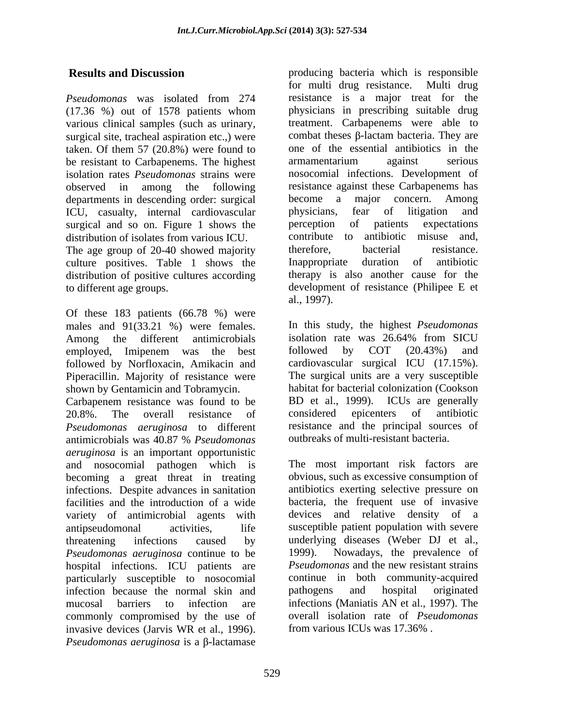*Pseudomonas* was isolated from 274 (17.36 %) out of 1578 patients whom various clinical samples (such as urinary, surgical site, tracheal aspiration etc.,) were taken. Of them 57 (20.8%) were found to one of the essential antibiotics in the he resistant to Carbanenems. The highest armamentarium against serious be resistant to Carbapenems. The highest isolation rates *Pseudomonas* strains were observed in among the following resistance against these Carbapenems has departments in descending order: surgical become a major concern. Among<br>ICU, casualty, internal cardiovascular physicians, fear of litigation and ICU, casualty, internal cardiovascular physicians, fear of litigation and surgical and so on Figure 1 shows the perception of patients expectations surgical and so on. Figure 1 shows the distribution of isolates from various ICU. The age group of 20-40 showed majority<br>culture positives. Table 1 shows the larger present than the culture of antibiotic culture positives. Table 1 shows the Inappropriate duration of distribution of positive cultures according to different age groups. development of resistance (Philipee E et

Of these 183 patients (66.78 %) were males and 91(33.21 %) were females. Among the different antimicrobials isolation rate was 26.64% from SICU<br>employed Imipenem was the best followed by COT (20.43%) and employed, Imipenem was the best followed by COT (20.43%) and followed by Norfloxacin, Amikacin and Piperacillin. Majority of resistance were shown by Gentamicin and Tobramycin. habitat for bacterial colonization (Cookson Carbapenem resistance was found to be BD et al., 1999). ICUs are generally 20.8%. The overall resistance of considered epicenters of antibiotic *Pseudomonas aeruginosa* to different

antimicrobials was 40.87 % *Pseudomonas aeruginosa* is an important opportunistic and nosocomial pathogen which is becoming a great threat in treating infections. Despite advances in sanitation facilities and the introduction of a wide variety of antimicrobial agents with antipseudomonal activities, life susceptible patient population with severe threatening infections caused by underlying diseases (Weber DJ et al., *Pseudomonas aeruginosa* continue to be hospital infections. ICU patients are particularly susceptible to nosocomial infection because the normal skin and pathogens and hospital originated mucosal barriers to infection are infections (Maniatis AN et al., 1997). The commonly compromised by the use of invasive devices (Jarvis WR et al., 1996). *Pseudomonas aeruginosa* is a  $\beta$ -lactamase

**Results and Discussion** producing bacteria which is responsible for multi drug resistance. Multi drug resistance is a major treat for the physicians in prescribing suitable drug treatment. Carbapenems were able to combat theses  $\beta$ -lactam bacteria. They are one of the essential antibiotics in the armamentarium against serious nosocomial infections. Development of become a major concern. Among physicians, fear of litigation and perception of patients expectations contribute to antibiotic misuse and, therefore, bacterial resistance. Inappropriate duration of antibiotic therapy is also another cause for the al., 1997).

> In this study, the highest *Pseudomonas*  isolation rate was 26.64% from SICU followed by COT (20.43%) and cardiovascular surgical ICU (17.15%). The surgical units are a very susceptible considered epicenters of antibiotic resistance and the principal sources of outbreaks of multi-resistant bacteria.

The most important risk factors are obvious, such as excessive consumption of antibiotics exerting selective pressure on bacteria, the frequent use of invasive devices and relative density of a Nowadays, the prevalence of *Pseudomonas* and the new resistant strains continue in both community-acquired pathogens and hospital originated overall isolation rate of *Pseudomonas* from various ICUs was 17.36% .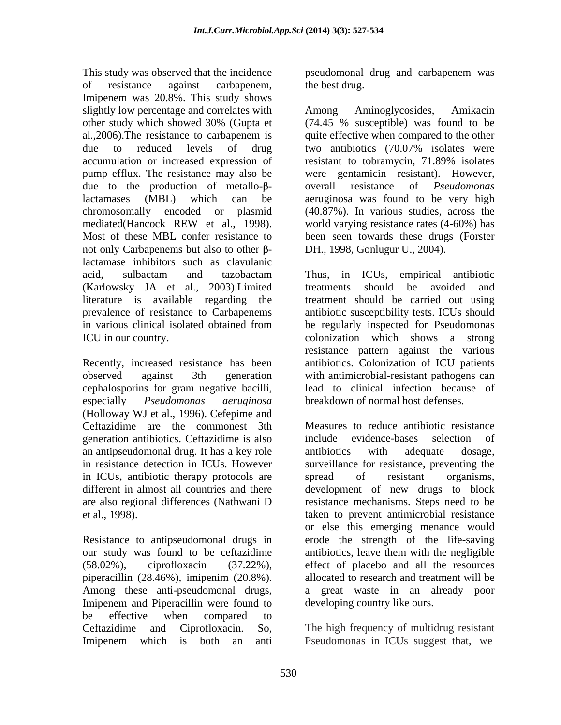This study was observed that the incidence of resistance against carbapenem, Imipenem was 20.8%. This study shows slightly low percentage and correlates with Among Aminoglycosides, Amikacin other study which showed 30% (Gupta et al.,2006).The resistance to carbapenem is quite effective when compared to the other due to reduced levels of drug two antibiotics (70.07% isolates were accumulation or increased expression of resistant to tobramycin, 71.89% isolates pump efflux. The resistance may also be due to the production of metallo- $\beta$ - overall resistance of *Pseudomonas* lactamases (MBL) which can be aeruginosa was found to be very high chromosomally encoded or plasmid (40.87%). In various studies, across the mediated(Hancock REW et al., 1998). world varying resistance rates (4-60%) has Most of these MBL confer resistance to been seen towards these drugs (Forster not only Carbapenems but also to other  $\beta$ lactamase inhibitors such as clavulanic (Karlowsky JA et al., 2003).Limited literature is available regarding the

cephalosporins for gram negative bacilli, especially *Pseudomonas aeruginosa* breakdown of normal host defenses. (Holloway WJ et al., 1996). Cefepime and generation antibiotics. Ceftazidime is also an antipseudomonal drug. It has a key role in ICUs, antibiotic therapy protocols are spread of resistant organisms, different in almost all countries and there

Resistance to antipseudomonal drugs in piperacillin (28.46%), imipenim (20.8%). Imipenem and Piperacillin were found to be effective when compared to Ceftazidime and Ciprofloxacin. So, The high frequency of multidrug resistant Imipenem which is both an anti Pseudomonas in ICUs suggest that, we

pseudomonal drug and carbapenem was the best drug.

Among Aminoglycosides, Amikacin (74.45 % susceptible) was found to be two antibiotics (70.07% isolates were resistant to tobramycin, 71.89% isolates were gentamicin resistant). However, overall resistance of *Pseudomonas*  world varying resistance rates  $(4-60\%)$  has DH., 1998, Gonlugur U., 2004).

acid, sulbactam and tazobactam Thus, in ICUs, empirical antibiotic prevalence of resistance to Carbapenems antibiotic susceptibility tests. ICUs should in various clinical isolated obtained from be regularly inspected for Pseudomonas ICU in our country. colonization which shows a strong Recently, increased resistance has been antibiotics. Colonization of ICU patients observed against 3th generation with antimicrobial-resistant pathogens can Thus, in ICUs, empirical antibiotic treatments should be avoided and treatment should be carried out using resistance pattern against the various lead to clinical infection because of

Ceftazidime are the commonest 3th Measures to reduce antibiotic resistance in resistance detection in ICUs. However surveillance for resistance, preventing the are also regional differences (Nathwani D resistance mechanisms. Steps need to be et al., 1998). taken to prevent antimicrobial resistance our study was found to be ceftazidime antibiotics, leave them with the negligible (58.02%), ciprofloxacin (37.22%), effect of placebo and all the resources Among these anti-pseudomonal drugs, a great waste in an already poor include evidence-bases selection of antibiotics with adequate dosage, spread of resistant organisms, development of new drugs to block or else this emerging menance would erode the strength of the life-saving allocated to research and treatment will be developing country like ours.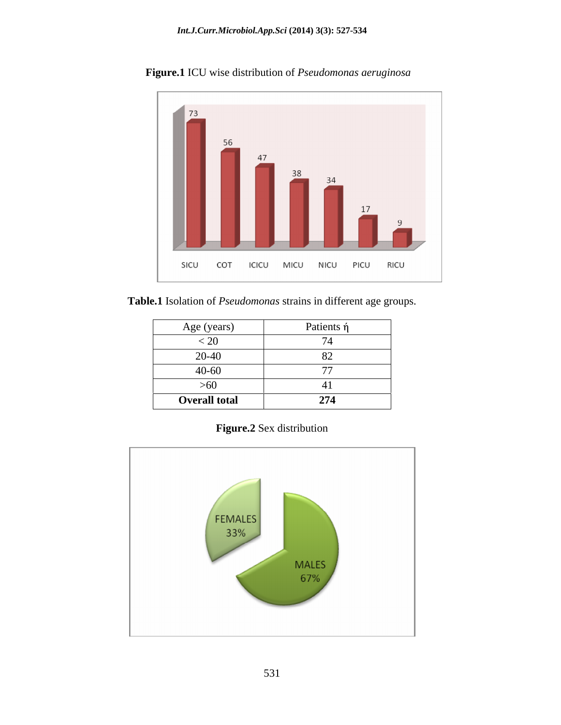

 **Figure.1** ICU wise distribution of *Pseudomonas aeruginosa*

 **Table.1** Isolation of *Pseudomonas* strains in different age groups.

| Age (years)          | Patients ή |
|----------------------|------------|
| 20                   |            |
| 20-40                |            |
| $40 - 60$            |            |
| $>60$                |            |
| <b>Overall total</b> | 274        |

**Figure.2** Sex distribution

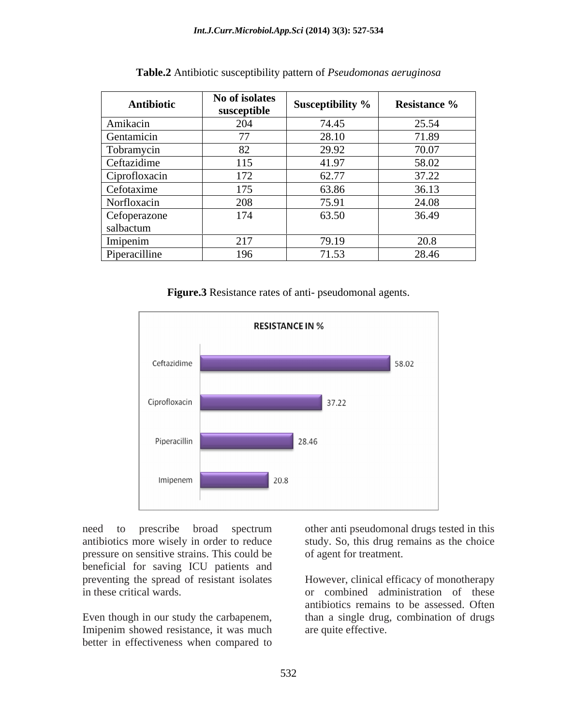| Antibiotic      | No of isolates        |                  |                                             |
|-----------------|-----------------------|------------------|---------------------------------------------|
|                 | susceptible           | Susceptibility % | <b>Resistance %</b>                         |
| Amikacin        | $\angle$ $\mathsf{H}$ | 74.45            | 25.54                                       |
| .<br>Gentamicin | 77                    | 28.10            | 71.89                                       |
| Tobramycin      | $\Omega$              | -29.92           | 70.07                                       |
| Ceftazidime     | 1 I J                 |                  | 58.02                                       |
| Ciprofloxacin   | 172                   | 62.77            | 27.22<br>$\overline{1}$ . $\angle$ $\angle$ |
| Cefotaxime      |                       | 63.86            | 36.13                                       |
| Norfloxacin     | 208                   |                  | 24.08                                       |
| Cefoperazone    | 174                   | 63.50            | 36.49                                       |
| salbactum       |                       |                  |                                             |
| Imipenim        | $\bigcap$ 1 $\bigcap$ | 19.19            | $\cap$ $\cap$ $\cap$                        |
| Piperacilline   | 196                   | 71,52            | 28.46                                       |

**Table.2** Antibiotic susceptibility pattern of *Pseudomonas aeruginosa*

**Figure.3** Resistance rates of anti- pseudomonal agents.



antibiotics more wisely in order to reduce study. So, this drug remains as the choice pressure on sensitive strains. This could be beneficial for saving ICU patients and

Imipenim showed resistance, it was much better in effectiveness when compared to

need to prescribe broad spectrum other anti pseudomonal drugs tested in this of agent for treatment.

preventing the spread of resistant isolates However, clinical efficacy of monotherapy in these critical wards. or combined administration of these Even though in our study the carbapenem, than a single drug, combination of drugs antibiotics remains to be assessed. Often are quite effective.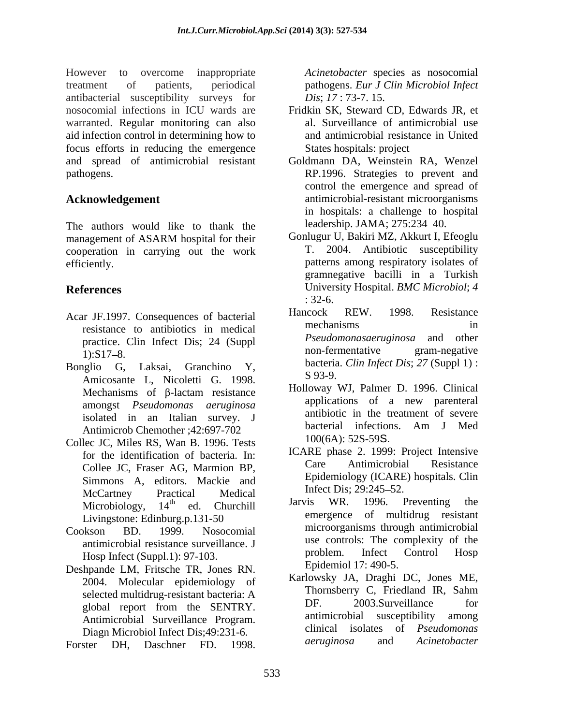However to overcome inappropriate Acinetobacter species as nosocomial treatment of patients, periodical pathogens. *Eur J Clin Microbiol Infect* antibacterial susceptibility surveys for nosocomial infections in ICU wards are Fridkin SK, Steward CD, Edwards JR, et warranted. Regular monitoring can also aid infection control in determining how to focus efforts in reducing the emergence and spread of antimicrobial resistant Goldmann DA, Weinstein RA, Wenzel pathogens. RP.1996. Strategies to prevent and Fluxever to reaccomic inquiring the methodology and the state of the state as notices as notices as notices as no<br>social state and Division and Division and Division and Division and Division and Division and the species a

The authors would like to thank the management of ASARM hospital for their Gonlugur U, Bakiri MZ, Akkurt I, Efeoglu cooperation in carrying out the work

- 
- Bonglio G, Laksai, Granchino Y, bacteria. Cun inject Dis; 27 (Suppi 1): Amicosante L, Nicoletti G. 1998. amongst *Pseudomonas aeruginosa*  Antimicrob Chemother ;42:697-702
- Collec JC, Miles RS, Wan B. 1996. Tests Collee JC, Fraser AG, Marmion BP, Simmons A, editors. Mackie and Epidemiology (ICARE<br>MacCentrave Brastiaal Maclinal Infect Dis: 29:245–52. McCartney Practical Medical Intect Dis; 29:243-52. Livingstone: Edinburg.p.131-50
- Hosp Infect (Suppl.1): 97-103.
- Deshpande LM, Fritsche TR, Jones RN. Diagn Microbiol Infect Dis;49:231-6. Clinical isolates<br>star DH Daschner ED 1998 *deruginosa* and
- 

*Dis*; *17* : 73-7. 15.

- al. Surveillance of antimicrobial use and antimicrobial resistance in United States hospitals: project
- **Acknowledgement**  antimicrobial-resistant microorganisms control the emergence and spread of in hospitals: a challenge to hospital leadership. JAMA; 275:234-40.
- efficiently. patterns among respiratory isolates of **References** University Hospital. *BMC Microbiol*; *4*  Gonlugur U, Bakiri MZ, Akkurt I, Efeoglu T. 2004. Antibiotic susceptibility gramnegative bacilli in a Turkish : 32-6.
- Acar JF.1997. Consequences of bacterial Hancock REW. 1998. Resistance<br>mechanisms in mediator experimental in the mechanisms in resistance to antibiotics in medical mechanisms<br>median presistance of the Infect Disc 24 (Supplemental president president president president president president president president in the president of the president presi practice. Clin Infect Dis; 24 (Suppl Free Propose and other non-fermentative pram-negative  $1):S17-8.$  non-iermentative gram-negative Hancock REW. 1998. Resistance mechanisms in *Pseudomonasaeruginosa* and other non-fermentative gram-negative bacteria. *Clin Infect Dis*; *27* (Suppl 1) : S 93-9.
	- Mechanisms of -lactam resistance isolated in an Italian survey. J<br>Antimieral Chamathar (20607.702) bacterial infections. Am J Med Holloway WJ, Palmer D. 1996. Clinical applications of a new parenteral antibiotic in the treatment of severe bacterial infections. Am J Med 100(6A): 52S-59S.
	- for the identification of bacteria. In:<br>Calleg IG Freezy AG Mermion BB Care Antimicrobial Resistance ICARE phase 2. 1999: Project Intensive Care Antimicrobial Resistance Epidemiology (ICARE) hospitals. Clin Infect Dis; 29:245–52.
- Microbiology, 14<sup>th</sup> ed. Churchill **Jarvis WR. 1990.** Preventing the  $_{\rm{tot}}$   $_{\rm{cd}}$   $_{\rm{Churchill}}$  Jarvis WR. 1996. Preventing the ed. Churchill Jarvis WR. 1990. Preventing the Cookson BD. 1999. Nosocomial antimicrobial resistance surveillance. J<br>
Here Infect Control Hosp<br>
Free Units of the problem. Infect Control Hosp Jarvis WR. 1996. Preventing the emergence of multidrug resistant microorganisms through antimicrobial use controls: The complexity of the problem. Infect Control Hosp Epidemiol 17: 490-5.
	- 2004. Molecular epidemiology of Karlowsky JA, Dragni DC, Jones ME,<br>solocted multidrug resistent besterior A Thornsberry C, Friedland IR, Sahm selected multidrug-resistant bacteria: A<br>
	selected multidrug-resistant bacteria: A<br>
	DF. 2003.Surveillance for global report from the SENTRY. Dr. 2003.Surveillance for Antimicrobial Surveillance Program. antimicrobial susceptibility among Karlowsky JA, Draghi DC, Jones ME, Thornsberry C, Friedland IR, Sahm DF. 2003.Surveillance for antimicrobial susceptibility among clinical isolates of *Pseudomonas aeruginosa* and *Acinetobacter*